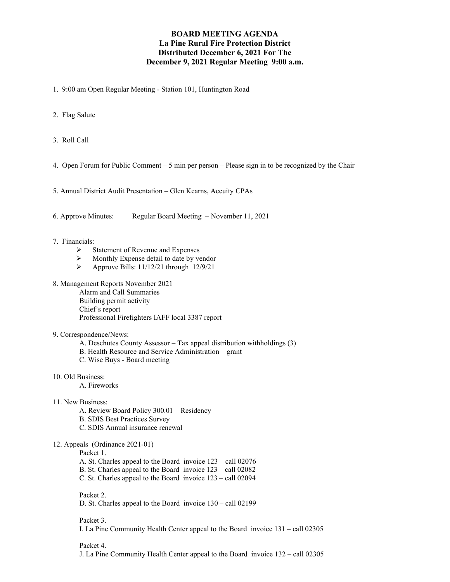## **BOARD MEETING AGENDA La Pine Rural Fire Protection District Distributed December 6, 2021 For The December 9, 2021 Regular Meeting 9:00 a.m.**

- 1. 9:00 am Open Regular Meeting Station 101, Huntington Road
- 2. Flag Salute
- 3. Roll Call
- 4. Open Forum for Public Comment 5 min per person Please sign in to be recognized by the Chair
- 5. Annual District Audit Presentation Glen Kearns, Accuity CPAs
- 6. Approve Minutes: Regular Board Meeting November 11, 2021

## 7. Financials:

- $\triangleright$  Statement of Revenue and Expenses<br> $\triangleright$  Monthly Expense detail to date by ve
- $\triangleright$  Monthly Expense detail to date by vendor<br> $\triangleright$  Approve Bills: 11/12/21 through 12/9/21
- Approve Bills: 11/12/21 through 12/9/21
- 8. Management Reports November 2021

Alarm and Call Summaries Building permit activity Chief's report Professional Firefighters IAFF local 3387 report

## 9. Correspondence/News:

- A. Deschutes County Assessor Tax appeal distribution withholdings (3)
- B. Health Resource and Service Administration grant
- C. Wise Buys Board meeting
- 10. Old Business:

A. Fireworks

- 11. New Business:
	- A. Review Board Policy 300.01 Residency
	- B. SDIS Best Practices Survey
	- C. SDIS Annual insurance renewal

## 12. Appeals (Ordinance 2021-01)

Packet 1.

- A. St. Charles appeal to the Board invoice 123 call 02076
- B. St. Charles appeal to the Board invoice 123 call 02082
- C. St. Charles appeal to the Board invoice 123 call 02094

Packet 2. D. St. Charles appeal to the Board invoice 130 – call 02199

Packet 3. I. La Pine Community Health Center appeal to the Board invoice 131 – call 02305

Packet 4. J. La Pine Community Health Center appeal to the Board invoice 132 – call 02305